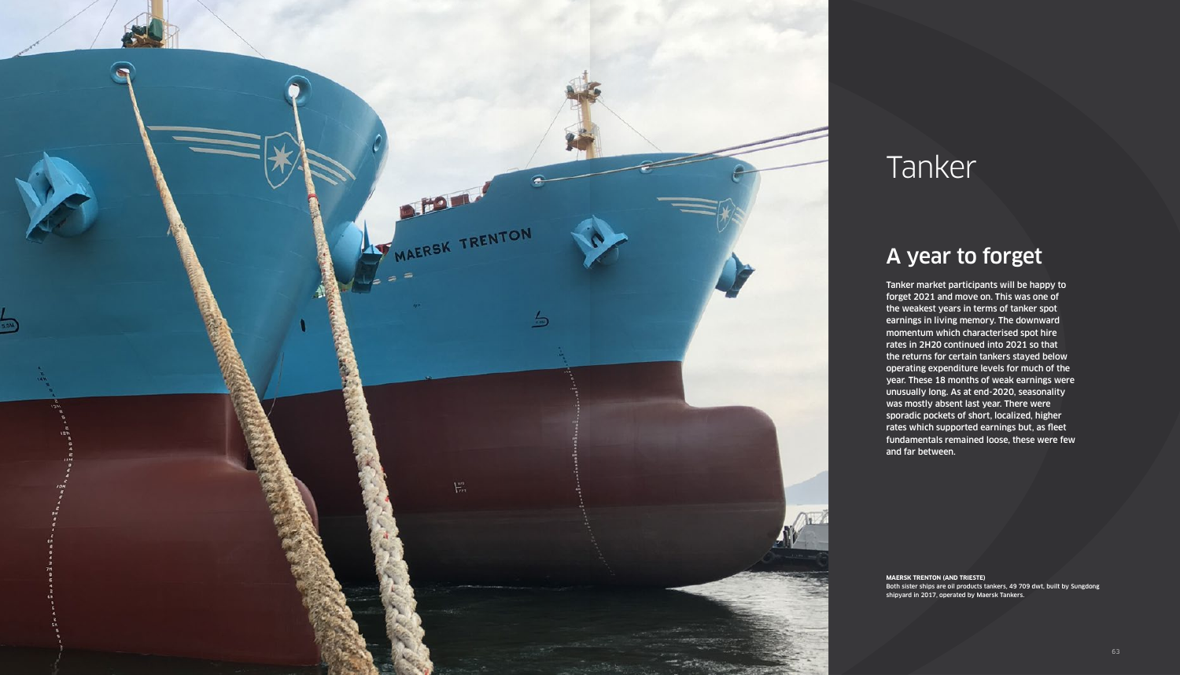

# Tanker

# A year to forget

Tanker market participants will be happy to forget 2021 and move on. This was one of the weakest years in terms of tanker spot earnings in living memory. The downward momentum which characterised spot hire rates in 2H20 continued into 2021 so that the returns for certain tankers stayed below operating expenditure levels for much of the year. These 18 months of weak earnings were unusually long. As at end-2020, seasonality was mostly absent last year. There were sporadic pockets of short, localized, higher rates which supported earnings but, as fleet fundamentals remained loose, these were few and far between.

**MAERSK TRENTON (AND TRIESTE)** Both sister ships are oil products tankers, 49 709 dwt, built by Sungdong shipyard in 2017, operated by Maersk Tankers.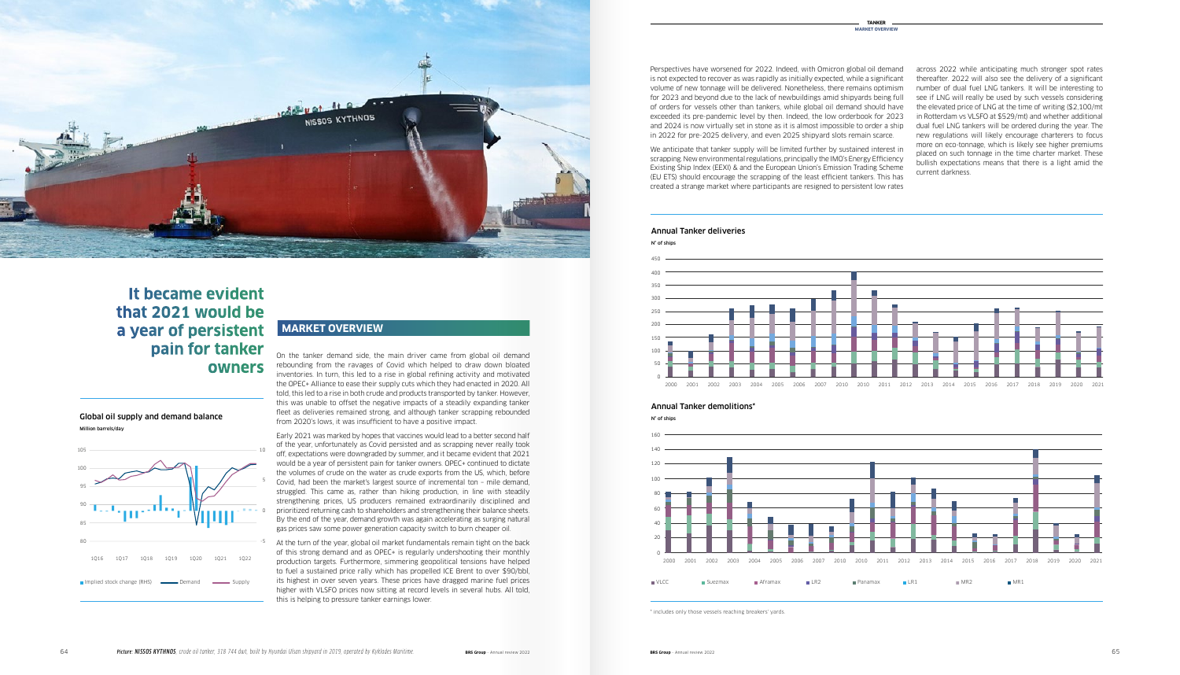across 2022 while anticipating much stronger spot rates thereafter. 2022 will also see the delivery of a significant number of dual fuel LNG tankers. It will be interesting to see if LNG will really be used by such vessels considering the elevated price of LNG at the time of writing (\$2,100/mt in Rotterdam vs VLSFO at \$529/mt) and whether additional dual fuel LNG tankers will be ordered during the year. The new regulations will likely encourage charterers to focus more on eco-tonnage, which is likely see higher premiums placed on such tonnage in the time charter market. These bullish expectations means that there is a light amid the current darkness.

We anticipate that tanker supply will be limited further by sustained interest in scrapping. New environmental regulations, principally the IMO's Energy Efficiency Existing Ship Index (EEXI) & and the European Union's Emission Trading Scheme (EU ETS) should encourage the scrapping of the least efficient tankers. This has created a strange market where participants are resigned to persistent low rates

#### Annual Tanker deliveries

Perspectives have worsened for 2022. Indeed, with Omicron global oil demand is not expected to recover as was rapidly as initially expected, while a significant volume of new tonnage will be delivered. Nonetheless, there remains optimism for 2023 and beyond due to the lack of newbuildings amid shipyards being full of orders for vessels other than tankers, while global oil demand should have exceeded its pre-pandemic level by then. Indeed, the low orderbook for 2023 and 2024 is now virtually set in stone as it is almost impossible to order a ship in 2022 for pre-2025 delivery, and even 2025 shipyard slots remain scarce.

On the tanker demand side, the main driver came from global oil demand rebounding from the ravages of Covid which helped to draw down bloated inventories. In turn, this led to a rise in global refining activity and motivated the OPEC+ Alliance to ease their supply cuts which they had enacted in 2020. All told, this led to a rise in both crude and products transported by tanker. However, this was unable to offset the negative impacts of a steadily expanding tanker fleet as deliveries remained strong, and although tanker scrapping rebounded from 2020's lows, it was insufficient to have a positive impact.

#### Annual Tanker demolitions\* N° of ships

Early 2021 was marked by hopes that vaccines would lead to a better second half of the year, unfortunately as Covid persisted and as scrapping never really took off, expectations were downgraded by summer, and it became evident that 2021 would be a year of persistent pain for tanker owners. OPEC+ continued to dictate the volumes of crude on the water as crude exports from the US, which, before Covid, had been the market's largest source of incremental ton – mile demand, struggled. This came as, rather than hiking production, in line with steadily strengthening prices, US producers remained extraordinarily disciplined and prioritized returning cash to shareholders and strengthening their balance sheets. By the end of the year, demand growth was again accelerating as surging natural gas prices saw some power generation capacity switch to burn cheaper oil.

At the turn of the year, global oil market fundamentals remain tight on the back of this strong demand and as OPEC+ is regularly undershooting their monthly production targets. Furthermore, simmering geopolitical tensions have helped to fuel a sustained price rally which has propelled ICE Brent to over \$90/bbl, its highest in over seven years. These prices have dragged marine fuel prices higher with VLSFO prices now sitting at record levels in several hubs. All told, this is helping to pressure tanker earnings lower.

### **MARKET OVERVIEW**









## **It became evident that 2021 would be a year of persistent pain for tanker owners**



*Source: IEA, EIA, JODI, BRS estimates*

\* includes only those vessels reaching breakers' yards.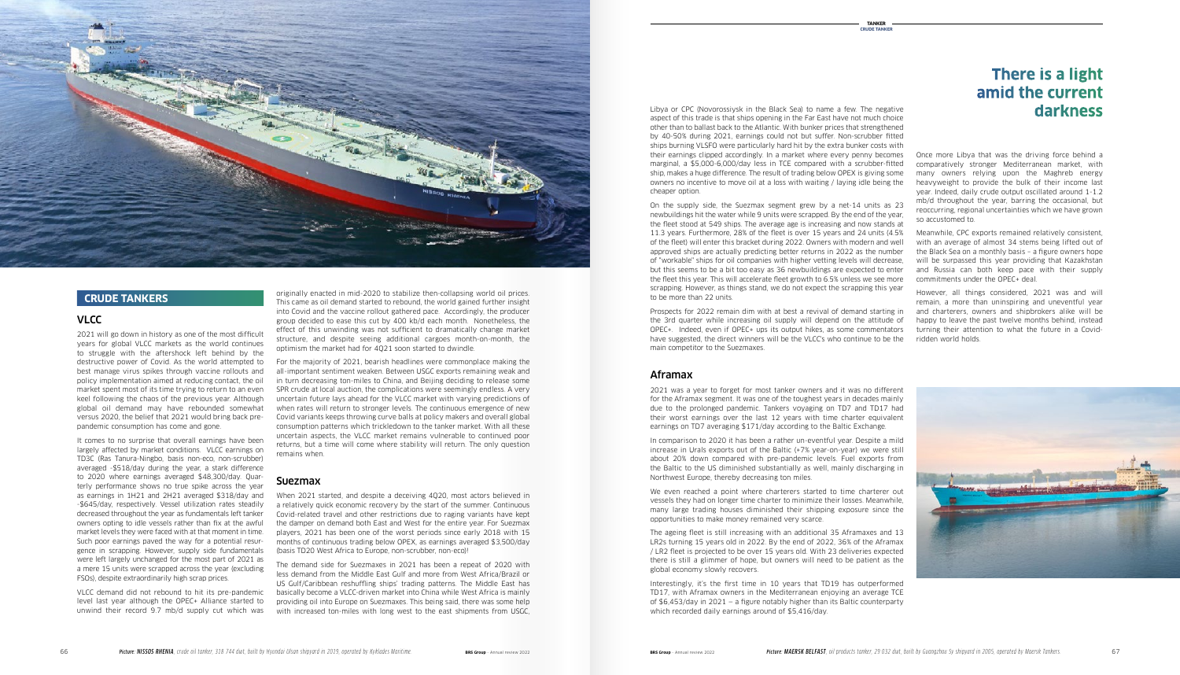originally enacted in mid-2020 to stabilize then-collapsing world oil prices. This came as oil demand started to rebound, the world gained further insight into Covid and the vaccine rollout gathered pace. Accordingly, the producer group decided to ease this cut by 400 kb/d each month. Nonetheless, the effect of this unwinding was not sufficient to dramatically change market structure, and despite seeing additional cargoes month-on-month, the optimism the market had for 4Q21 soon started to dwindle.

For the majority of 2021, bearish headlines were commonplace making the all-important sentiment weaken. Between USGC exports remaining weak and in turn decreasing ton-miles to China, and Beijing deciding to release some SPR crude at local auction, the complications were seemingly endless. A very uncertain future lays ahead for the VLCC market with varying predictions of when rates will return to stronger levels. The continuous emergence of new Covid variants keeps throwing curve balls at policy makers and overall global consumption patterns which trickledown to the tanker market. With all these uncertain aspects, the VLCC market remains vulnerable to continued poor returns, but a time will come where stability will return. The only question remains when.

#### Suezmax

When 2021 started, and despite a deceiving 4Q20, most actors believed in a relatively quick economic recovery by the start of the summer. Continuous Covid-related travel and other restrictions due to raging variants have kept the damper on demand both East and West for the entire year. For Suezmax players, 2021 has been one of the worst periods since early 2018 with 15 months of continuous trading below OPEX, as earnings averaged \$3,500/day (basis TD20 West Africa to Europe, non-scrubber, non-eco)!

The demand side for Suezmaxes in 2021 has been a repeat of 2020 with less demand from the Middle East Gulf and more from West Africa/Brazil or US Gulf/Caribbean reshuffling ships' trading patterns. The Middle East has basically become a VLCC-driven market into China while West Africa is mainly providing oil into Europe on Suezmaxes. This being said, there was some help with increased ton-miles with long west to the east shipments from USGC,

Libya or CPC (Novorossiysk in the Black Sea) to name a few. The negative aspect of this trade is that ships opening in the Far East have not much choice other than to ballast back to the Atlantic. With bunker prices that strengthened by 40-50% during 2021, earnings could not but suffer. Non-scrubber fitted ships burning VLSFO were particularly hard hit by the extra bunker costs with their earnings clipped accordingly. In a market where every penny becomes Once more Libya that was the driving force behind a marginal, a \$5,000-6,000/day less in TCE compared with a scrubber-fitted ship, makes a huge difference. The result of trading below OPEX is giving some owners no incentive to move oil at a loss with waiting / laying idle being the cheaper option.

On the supply side, the Suezmax segment grew by a net-14 units as 23 newbuildings hit the water while 9 units were scrapped. By the end of the year, the fleet stood at 549 ships. The average age is increasing and now stands at 11.3 years. Furthermore, 28% of the fleet is over 15 years and 24 units (4.5% of the fleet) will enter this bracket during 2022. Owners with modern and well approved ships are actually predicting better returns in 2022 as the number of "workable" ships for oil companies with higher vetting levels will decrease, but this seems to be a bit too easy as 36 newbuildings are expected to enter the fleet this year. This will accelerate fleet growth to 6.5% unless we see more scrapping. However, as things stand, we do not expect the scrapping this year to be more than 22 units.

Prospects for 2022 remain dim with at best a revival of demand starting in the 3rd quarter while increasing oil supply will depend on the attitude of OPEC+. Indeed, even if OPEC+ ups its output hikes, as some commentators have suggested, the direct winners will be the VLCC's who continue to be the main competitor to the Suezmaxes.

#### Aframax

2021 was a year to forget for most tanker owners and it was no different for the Aframax segment. It was one of the toughest years in decades mainly due to the prolonged pandemic. Tankers voyaging on TD7 and TD17 had their worst earnings over the last 12 years with time charter equivalent earnings on TD7 averaging \$171/day according to the Baltic Exchange.

In comparison to 2020 it has been a rather un-eventful year. Despite a mild increase in Urals exports out of the Baltic (+7% year-on-year) we were still about 20% down compared with pre-pandemic levels. Fuel exports from the Baltic to the US diminished substantially as well, mainly discharging in Northwest Europe, thereby decreasing ton miles.

We even reached a point where charterers started to time charterer out vessels they had on longer time charter to minimize their losses. Meanwhile, many large trading houses diminished their shipping exposure since the opportunities to make money remained very scarce.

The ageing fleet is still increasing with an additional 35 Aframaxes and 13 LR2s turning 15 years old in 2022. By the end of 2022, 36% of the Aframax / LR2 fleet is projected to be over 15 years old. With 23 deliveries expected there is still a glimmer of hope, but owners will need to be patient as the global economy slowly recovers.

Interestingly, it's the first time in 10 years that TD19 has outperformed TD17, with Aframax owners in the Mediterranean enjoying an average TCE of \$6,453/day in 2021 — a figure notably higher than its Baltic counterparty which recorded daily earnings around of \$5,416/day.

comparatively stronger Mediterranean market, with many owners relying upon the Maghreb energy heavyweight to provide the bulk of their income last year. Indeed, daily crude output oscillated around 1-1.2 mb/d throughout the year, barring the occasional, but reoccurring, regional uncertainties which we have grown so accustomed to.

Meanwhile, CPC exports remained relatively consistent, with an average of almost 34 stems being lifted out of the Black Sea on a monthly basis – a figure owners hope will be surpassed this year providing that Kazakhstan and Russia can both keep pace with their supply commitments under the OPEC+ deal.

However, all things considered, 2021 was and will remain, a more than uninspiring and uneventful year and charterers, owners and shipbrokers alike will be happy to leave the past twelve months behind, instead turning their attention to what the future in a Covidridden world holds.



#### VLCC

2021 will go down in history as one of the most difficult years for global VLCC markets as the world continues to struggle with the aftershock left behind by the destructive power of Covid. As the world attempted to best manage virus spikes through vaccine rollouts and policy implementation aimed at reducing contact, the oil market spent most of its time trying to return to an even keel following the chaos of the previous year. Although global oil demand may have rebounded somewhat versus 2020, the belief that 2021 would bring back prepandemic consumption has come and gone.

It comes to no surprise that overall earnings have been largely affected by market conditions. VLCC earnings on TD3C (Ras Tanura-Ningbo, basis non-eco, non-scrubber) averaged -\$518/day during the year, a stark difference to 2020 where earnings averaged \$48,300/day. Quarterly performance shows no true spike across the year as earnings in 1H21 and 2H21 averaged \$318/day and -\$645/day, respectively. Vessel utilization rates steadily decreased throughout the year as fundamentals left tanker owners opting to idle vessels rather than fix at the awful market levels they were faced with at that moment in time. Such poor earnings paved the way for a potential resurgence in scrapping. However, supply side fundamentals were left largely unchanged for the most part of 2021 as a mere 15 units were scrapped across the year (excluding FSOs), despite extraordinarily high scrap prices.

VLCC demand did not rebound to hit its pre-pandemic level last year although the OPEC+ Alliance started to unwind their record 9.7 mb/d supply cut which was

## **There is a light amid the current darkness**



#### **CRUDE TANKERS**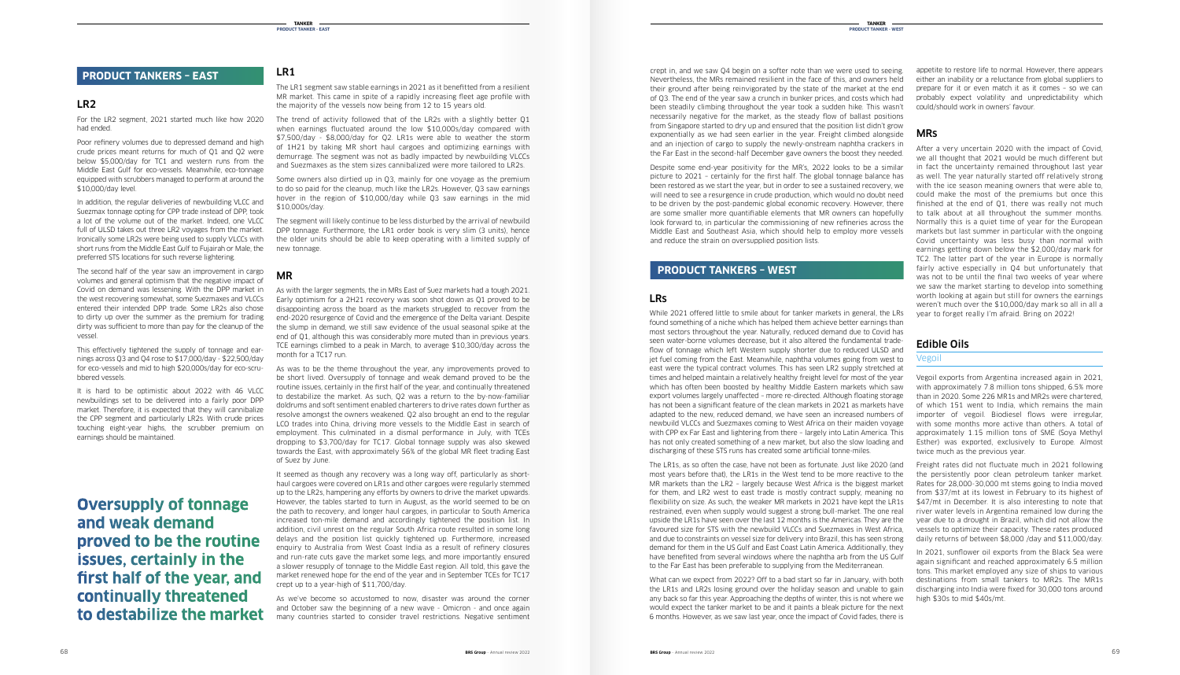#### LR1

The LR1 segment saw stable earnings in 2021 as it benefitted from a resilient MR market. This came in spite of a rapidly increasing fleet age profile with the majority of the vessels now being from 12 to 15 years old.

The trend of activity followed that of the LR2s with a slightly better Q1 when earnings fluctuated around the low \$10,000s/day compared with \$7,500/day - \$8,000/day for Q2. LR1s were able to weather the storm of 1H21 by taking MR short haul cargoes and optimizing earnings with demurrage. The segment was not as badly impacted by newbuilding VLCCs and Suezmaxes as the stem sizes cannibalized were more tailored to LR2s.

Some owners also dirtied up in Q3, mainly for one voyage as the premium to do so paid for the cleanup, much like the LR2s. However, Q3 saw earnings hover in the region of \$10,000/day while Q3 saw earnings in the mid \$10,000s/day.

The segment will likely continue to be less disturbed by the arrival of newbuild DPP tonnage. Furthermore, the LR1 order book is very slim (3 units), hence the older units should be able to keep operating with a limited supply of new tonnage.

#### MR

As was to be the theme throughout the year, any improvements proved to be short lived. Oversupply of tonnage and weak demand proved to be the routine issues, certainly in the first half of the year, and continually threatened to destabilize the market. As such, Q2 was a return to the by-now-familiar doldrums and soft sentiment enabled charterers to drive rates down further as resolve amongst the owners weakened. Q2 also brought an end to the regular LCO trades into China, driving more vessels to the Middle East in search of employment. This culminated in a dismal performance in July, with TCEs dropping to \$3,700/day for TC17. Global tonnage supply was also skewed towards the East, with approximately 56% of the global MR fleet trading East of Suez by June.

As with the larger segments, the in MRs East of Suez markets had a tough 2021. Early optimism for a 2H21 recovery was soon shot down as Q1 proved to be disappointing across the board as the markets struggled to recover from the end-2020 resurgence of Covid and the emergence of the Delta variant. Despite the slump in demand, we still saw evidence of the usual seasonal spike at the end of Q1, although this was considerably more muted than in previous years. TCE earnings climbed to a peak in March, to average \$10,300/day across the month for a TC17 run.

It seemed as though any recovery was a long way off, particularly as shorthaul cargoes were covered on LR1s and other cargoes were regularly stemmed up to the LR2s, hampering any efforts by owners to drive the market upwards. However, the tables started to turn in August, as the world seemed to be on the path to recovery, and longer haul cargoes, in particular to South America increased ton-mile demand and accordingly tightened the position list. In addition, civil unrest on the regular South Africa route resulted in some long delays and the position list quickly tightened up. Furthermore, increased enquiry to Australia from West Coast India as a result of refinery closures and run-rate cuts gave the market some legs, and more importantly ensured a slower resupply of tonnage to the Middle East region. All told, this gave the market renewed hope for the end of the year and in September TCEs for TC17 crept up to a year-high of \$11,700/day.

As we've become so accustomed to now, disaster was around the corner and October saw the beginning of a new wave - Omicron - and once again many countries started to consider travel restrictions. Negative sentiment

#### LR2

For the LR2 segment, 2021 started much like how 2020 had ended.

Poor refinery volumes due to depressed demand and high crude prices meant returns for much of Q1 and Q2 were below \$5,000/day for TC1 and western runs from the Middle East Gulf for eco-vessels. Meanwhile, eco-tonnage equipped with scrubbers managed to perform at around the \$10,000/day level.

In addition, the regular deliveries of newbuilding VLCC and Suezmax tonnage opting for CPP trade instead of DPP, took a lot of the volume out of the market. Indeed, one VLCC full of ULSD takes out three LR2 voyages from the market. Ironically some LR2s were being used to supply VLCCs with short runs from the Middle East Gulf to Fujairah or Male, the preferred STS locations for such reverse lightering.

The second half of the year saw an improvement in cargo volumes and general optimism that the negative impact of Covid on demand was lessening. With the DPP market in the west recovering somewhat, some Suezmaxes and VLCCs entered their intended DPP trade. Some LR2s also chose to dirty up over the summer as the premium for trading dirty was sufficient to more than pay for the cleanup of the vessel.

has not only created something of a new market, but also the slow loading and Lesther) was exported, exclusively to Europe. Almost While 2021 offered little to smile about for tanker markets in general, the LRs found something of a niche which has helped them achieve better earnings than most sectors throughout the year. Naturally, reduced demand due to Covid has seen water-borne volumes decrease, but it also altered the fundamental tradeflow of tonnage which left Western supply shorter due to reduced ULSD and jet fuel coming from the East. Meanwhile, naphtha volumes going from west to east were the typical contract volumes. This has seen LR2 supply stretched at times and helped maintain a relatively healthy freight level for most of the year which has often been boosted by healthy Middle Eastern markets which saw export volumes largely unaffected – more re-directed. Although floating storage has not been a significant feature of the clean markets in 2021 as markets have adapted to the new, reduced demand, we have seen an increased numbers of newbuild VLCCs and Suezmaxes coming to West Africa on their maiden voyage with CPP ex Far East and lightering from there – largely into Latin America. This discharging of these STS runs has created some artificial tonne-miles.

This effectively tightened the supply of tonnage and earnings across Q3 and Q4 rose to \$17,000/day - \$22,500/day for eco-vessels and mid to high \$20,000s/day for eco-scrubbered vessels.

It is hard to be optimistic about 2022 with 46 VLCC newbuildings set to be delivered into a fairly poor DPP market. Therefore, it is expected that they will cannibalize the CPP segment and particularly LR2s. With crude prices touching eight-year highs, the scrubber premium on earnings should be maintained.

appetite to restore life to normal. However, there appears either an inability or a reluctance from global suppliers to prepare for it or even match it as it comes – so we can probably expect volatility and unpredictability which could/should work in owners' favour.

#### MRs

After a very uncertain 2020 with the impact of Covid, we all thought that 2021 would be much different but in fact the uncertainty remained throughout last year as well. The year naturally started off relatively strong with the ice season meaning owners that were able to, could make the most of the premiums but once this finished at the end of Q1, there was really not much to talk about at all throughout the summer months. Normally this is a quiet time of year for the European markets but last summer in particular with the ongoing Covid uncertainty was less busy than normal with earnings getting down below the \$2,000/day mark for TC2. The latter part of the year in Europe is normally fairly active especially in Q4 but unfortunately that was not to be until the final two weeks of year where we saw the market starting to develop into something worth looking at again but still for owners the earnings weren't much over the \$10,000/day mark so all in all a year to forget really I'm afraid. Bring on 2022!

#### Edible Oils

#### Vegoil

Vegoil exports from Argentina increased again in 2021, with approximately 7.8 million tons shipped, 6.5% more than in 2020. Some 226 MR1s and MR2s were chartered, of which 151 went to India, which remains the main importer of vegoil. Biodiesel flows were irregular, with some months more active than others. A total of approximately 1.15 million tons of SME (Soya Methyl twice much as the previous year.

Freight rates did not fluctuate much in 2021 following the persistently poor clean petroleum tanker market. Rates for 28,000-30,000 mt stems going to India moved from \$37/mt at its lowest in February to its highest of \$47/mt in December. It is also interesting to note that river water levels in Argentina remained low during the year due to a drought in Brazil, which did not allow the vessels to optimize their capacity. These rates produced daily returns of between \$8,000 /day and \$11,000/day.

In 2021, sunflower oil exports from the Black Sea were again significant and reached approximately 6.5 million tons. This market employed any size of ships to various destinations from small tankers to MR2s. The MR1s discharging into India were fixed for 30,000 tons around high \$30s to mid \$40s/mt.

#### LRs

The LR1s, as so often the case, have not been as fortunate. Just like 2020 (and most years before that), the LR1s in the West tend to be more reactive to the MR markets than the LR2 – largely because West Africa is the biggest market for them, and LR2 west to east trade is mostly contract supply, meaning no flexibility on size. As such, the weaker MR markets in 2021 have kept the LR1s restrained, even when supply would suggest a strong bull-market. The one real upside the LR1s have seen over the last 12 months is the Americas. They are the favoured size for STS with the newbuild VLCCs and Suezmaxes in West Africa, and due to constraints on vessel size for delivery into Brazil, this has seen strong demand for them in the US Gulf and East Coast Latin America. Additionally, they have benefited from several windows where the naphtha arb from the US Gulf to the Far East has been preferable to supplying from the Mediterranean.

What can we expect from 2022? Off to a bad start so far in January, with both the LR1s and LR2s losing ground over the holiday season and unable to gain any back so far this year. Approaching the depths of winter, this is not where we would expect the tanker market to be and it paints a bleak picture for the next 6 months. However, as we saw last year, once the impact of Covid fades, there is

**Oversupply of tonnage and weak demand proved to be the routine issues, certainly in the first half of the year, and continually threatened to destabilize the market**

#### **PRODUCT TANKERS – EAST**

#### **PRODUCT TANKERS – WEST**

crept in, and we saw Q4 begin on a softer note than we were used to seeing. Nevertheless, the MRs remained resilient in the face of this, and owners held their ground after being reinvigorated by the state of the market at the end of Q3. The end of the year saw a crunch in bunker prices, and costs which had been steadily climbing throughout the year took a sudden hike. This wasn't necessarily negative for the market, as the steady flow of ballast positions from Singapore started to dry up and ensured that the position list didn't grow exponentially as we had seen earlier in the year. Freight climbed alongside and an injection of cargo to supply the newly-onstream naphtha crackers in the Far East in the second-half December gave owners the boost they needed.

Despite some end-year positivity for the MR's, 2022 looks to be a similar picture to 2021 – certainly for the first half. The global tonnage balance has been restored as we start the year, but in order to see a sustained recovery, we will need to see a resurgence in crude production, which would no doubt need to be driven by the post-pandemic global economic recovery. However, there are some smaller more quantifiable elements that MR owners can hopefully look forward to, in particular the commissioning of new refineries across the Middle East and Southeast Asia, which should help to employ more vessels and reduce the strain on oversupplied position lists.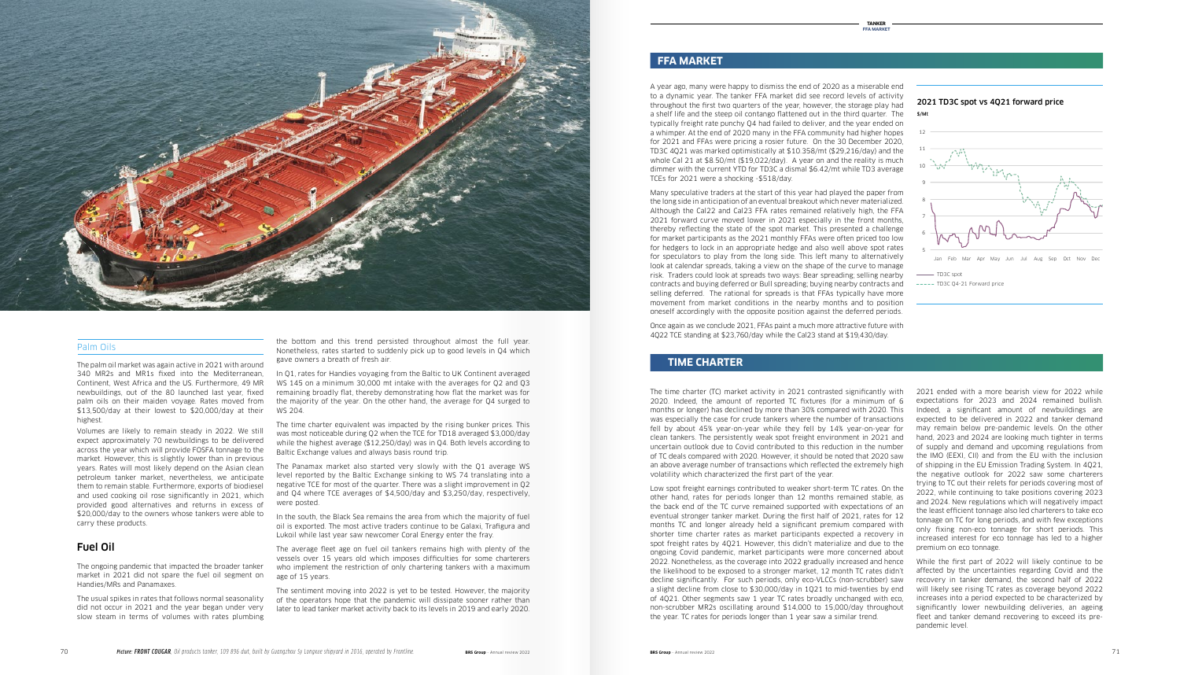A year ago, many were happy to dismiss the end of 2020 as a miserable end to a dynamic year. The tanker FFA market did see record levels of activity throughout the first two quarters of the year, however, the storage play had a shelf life and the steep oil contango flattened out in the third quarter. The typically freight rate punchy Q4 had failed to deliver, and the year ended on a whimper. At the end of 2020 many in the FFA community had higher hopes for 2021 and FFAs were pricing a rosier future. On the 30 December 2020, TD3C 4Q21 was marked optimistically at \$10.358/mt (\$29,216/day) and the whole Cal 21 at \$8.50/mt (\$19,022/day). A year on and the reality is much dimmer with the current YTD for TD3C a dismal \$6.42/mt while TD3 average TCEs for 2021 were a shocking -\$518/day.

Many speculative traders at the start of this year had played the paper from the long side in anticipation of an eventual breakout which never materialized. Although the Cal22 and Cal23 FFA rates remained relatively high, the FFA 2021 forward curve moved lower in 2021 especially in the front months, thereby reflecting the state of the spot market. This presented a challenge for market participants as the 2021 monthly FFAs were often priced too low for hedgers to lock in an appropriate hedge and also well above spot rates for speculators to play from the long side. This left many to alternatively look at calendar spreads, taking a view on the shape of the curve to manage risk. Traders could look at spreads two ways: Bear spreading; selling nearby contracts and buying deferred or Bull spreading; buying nearby contracts and selling deferred. The rational for spreads is that FFAs typically have more movement from market conditions in the nearby months and to position oneself accordingly with the opposite position against the deferred periods.

Once again as we conclude 2021, FFAs paint a much more attractive future with 4Q22 TCE standing at \$23,760/day while the Cal23 stand at \$19,430/day.



#### Palm Oils

The palm oil market was again active in 2021 with around 340 MR2s and MR1s fixed into the Mediterranean, Continent, West Africa and the US. Furthermore, 49 MR newbuildings, out of the 80 launched last year, fixed palm oils on their maiden voyage. Rates moved from \$13,500/day at their lowest to \$20,000/day at their highest.

Volumes are likely to remain steady in 2022. We still expect approximately 70 newbuildings to be delivered across the year which will provide FOSFA tonnage to the market. However, this is slightly lower than in previous years. Rates will most likely depend on the Asian clean petroleum tanker market, nevertheless, we anticipate them to remain stable. Furthermore, exports of biodiesel and used cooking oil rose significantly in 2021, which provided good alternatives and returns in excess of \$20,000/day to the owners whose tankers were able to carry these products.

#### Fuel Oil

The ongoing pandemic that impacted the broader tanker market in 2021 did not spare the fuel oil segment on Handies/MRs and Panamaxes.

The usual spikes in rates that follows normal seasonality did not occur in 2021 and the year began under very slow steam in terms of volumes with rates plumbing

the bottom and this trend persisted throughout almost the full year. Nonetheless, rates started to suddenly pick up to good levels in Q4 which gave owners a breath of fresh air.

In Q1, rates for Handies voyaging from the Baltic to UK Continent averaged WS 145 on a minimum 30,000 mt intake with the averages for Q2 and Q3 remaining broadly flat, thereby demonstrating how flat the market was for the majority of the year. On the other hand, the average for Q4 surged to WS 204.

The time charter equivalent was impacted by the rising bunker prices. This was most noticeable during Q2 when the TCE for TD18 averaged \$3,000/day while the highest average (\$12,250/day) was in Q4. Both levels according to Baltic Exchange values and always basis round trip.

The Panamax market also started very slowly with the Q1 average WS level reported by the Baltic Exchange sinking to WS 74 translating into a negative TCE for most of the quarter. There was a slight improvement in Q2 and Q4 where TCE averages of \$4,500/day and \$3,250/day, respectively, were posted.

In the south, the Black Sea remains the area from which the majority of fuel oil is exported. The most active traders continue to be Galaxi, Trafigura and Lukoil while last year saw newcomer Coral Energy enter the fray.

The average fleet age on fuel oil tankers remains high with plenty of the vessels over 15 years old which imposes difficulties for some charterers who implement the restriction of only chartering tankers with a maximum age of 15 years.

The sentiment moving into 2022 is yet to be tested. However, the majority of the operators hope that the pandemic will dissipate sooner rather than later to lead tanker market activity back to its levels in 2019 and early 2020.

2021 ended with a more bearish view for 2022 while expectations for 2023 and 2024 remained bullish. Indeed, a significant amount of newbuildings are expected to be delivered in 2022 and tanker demand may remain below pre-pandemic levels. On the other hand, 2023 and 2024 are looking much tighter in terms of supply and demand and upcoming regulations from 0 the IMO (EEXI, CII) and from the EU with the inclusion of shipping in the EU Emission Trading System. In 4Q21, the negative outlook for 2022 saw some charterers trying to TC out their relets for periods covering most of 2022, while continuing to take positions covering 2023 and 2024. New regulations which will negatively impact the least efficient tonnage also led charterers to take eco tonnage on TC for long periods, and with few exceptions only fixing non-eco tonnage for short periods. This increased interest for eco tonnage has led to a higher premium on eco tonnage.

While the first part of 2022 will likely continue to be affected by the uncertainties regarding Covid and the recovery in tanker demand, the second half of 2022 will likely see rising TC rates as coverage beyond 2022 increases into a period expected to be characterized by significantly lower newbuilding deliveries, an ageing fleet and tanker demand recovering to exceed its prepandemic level.

#### **FFA MARKET**

The time charter (TC) market activity in 2021 contrasted significantly with 2020. Indeed, the amount of reported TC fixtures (for a minimum of 6 months or longer) has declined by more than 30% compared with 2020. This was especially the case for crude tankers where the number of transactions fell by about 45% year-on-year while they fell by 14% year-on-year for clean tankers. The persistently weak spot freight environment in 2021 and uncertain outlook due to Covid contributed to this reduction in the number of TC deals compared with 2020. However, it should be noted that 2020 saw an above average number of transactions which reflected the extremely high volatility which characterized the first part of the year.

Low spot freight earnings contributed to weaker short-term TC rates. On the other hand, rates for periods longer than 12 months remained stable, as the back end of the TC curve remained supported with expectations of an eventual stronger tanker market. During the first half of 2021, rates for 12 months TC and longer already held a significant premium compared with shorter time charter rates as market participants expected a recovery in spot freight rates by 4Q21. However, this didn't materialize and due to the ongoing Covid pandemic, market participants were more concerned about 2022. Nonetheless, as the coverage into 2022 gradually increased and hence the likelihood to be exposed to a stronger market, 12 month TC rates didn't decline significantly. For such periods, only eco-VLCCs (non-scrubber) saw a slight decline from close to \$30,000/day in 1Q21 to mid-twenties by end of 4Q21. Other segments saw 1 year TC rates broadly unchanged with eco, non-scrubber MR2s oscillating around \$14,000 to 15,000/day throughout the year. TC rates for periods longer than 1 year saw a similar trend.

#### **TIME CHARTER**

2021 TD3C spot vs 4Q21 forward price 2021 TD3C spot vs 4Q21 forward price



N° of Tanker TCs in 2020

120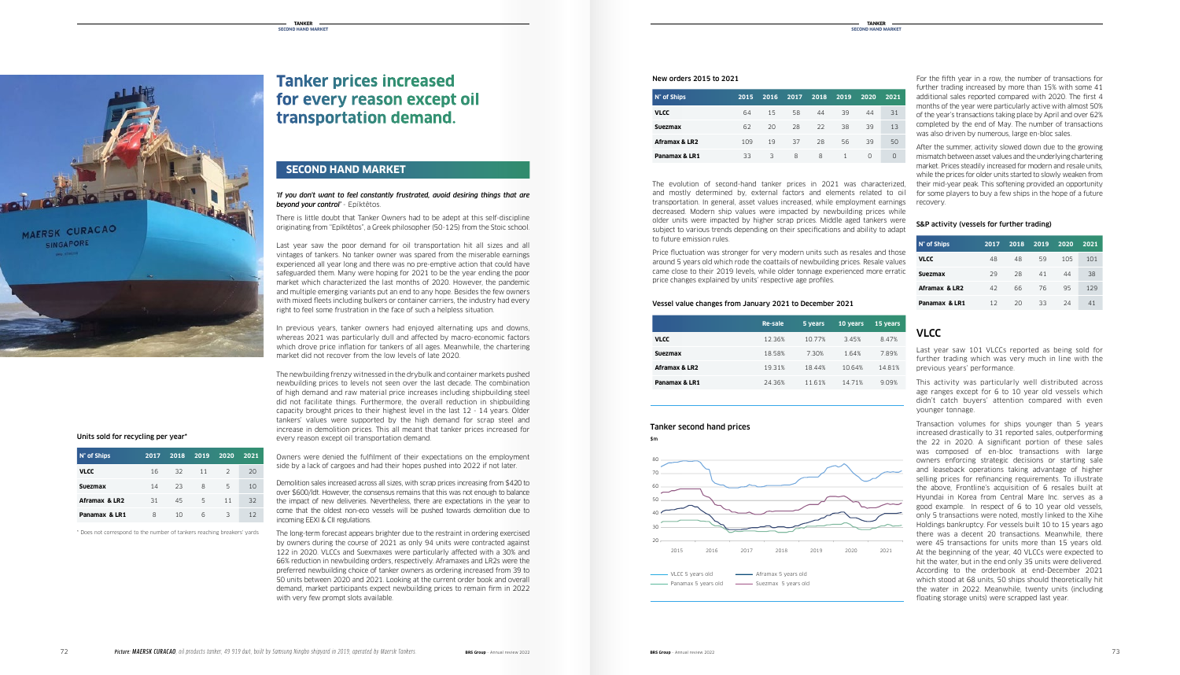

#### Vessel value changes from January 2021 to December 2021

|               | Re-sale | 5 years | 10 years | 15 years |
|---------------|---------|---------|----------|----------|
| VLCC          | 12.36%  | 10.77%  | 3.45%    | 8.47%    |
| Svezmax       | 18.58%  | 7.30%   | 1.64%    | 7.89%    |
| Aframax & LR2 | 19.31%  | 18.44%  | 10.64%   | 14.81%   |
| Panamax & LR1 | 24.36%  | 11.61%  | 14.71%   | 9.09%    |
|               |         |         |          |          |

## Tanker second hand prices

The evolution of second-hand tanker prices in 2021 was characterized, and mostly determined by, external factors and elements related to oil transportation. In general, asset values increased, while employment earnings recovery. decreased. Modern ship values were impacted by newbuilding prices while older units were impacted by higher scrap prices. Middle aged tankers were subject to various trends depending on their specifications and ability to adapt to future emission rules.

Price fluctuation was stronger for very modern units such as resales and those around 5 years old which rode the coattails of newbuilding prices. Resale values came close to their 2019 levels, while older tonnage experienced more erratic price changes explained by units' respective age profiles.

#### New orders 2015 to 2021

#### **SECOND HAND MARKET**

#### VLCC

Last year saw 101 VLCCs reported as being sold for further trading which was very much in line with the previous years' performance.

This activity was particularly well distributed across age ranges except for 6 to 10 year old vessels which didn't catch buyers' attention compared with even younger tonnage.

Transaction volumes for ships younger than 5 years increased drastically to 31 reported sales, outperforming the 22 in 2020. A significant portion of these sales was composed of en-bloc transactions with large owners enforcing strategic decisions or starting sale and leaseback operations taking advantage of higher selling prices for refinancing requirements. To illustrate the above, Frontline's acquisition of 6 resales built at Hyundai in Korea from Central Mare Inc. serves as a good example. In respect of 6 to 10 year old vessels, only 5 transactions were noted, mostly linked to the Xihe Holdings bankruptcy. For vessels built 10 to 15 years ago there was a decent 20 transactions. Meanwhile, there were 45 transactions for units more than 15 years old. At the beginning of the year, 40 VLCCs were expected to hit the water, but in the end only 35 units were delivered. According to the orderbook at end-December 2021 which stood at 68 units, 50 ships should theoretically hit the water in 2022. Meanwhile, twenty units (including floating storage units) were scrapped last year.

#### *'If you don't want to feel constantly frustrated, avoid desiring things that are*  **beyond your control'** - Epíktêtos.

| N° of Ships    | 2015 | 2016 | 2017 | 2018 | 2019         | 2020 | 2021 |
|----------------|------|------|------|------|--------------|------|------|
| <b>VLCC</b>    | 64   | 15   | 58   | 44   | 39           | 44   | 31   |
| <b>Suezmax</b> | 62   | 20   | 28   | 22   | 38           | 39   | 13   |
| Aframax & LR2  | 109  | 19   | 37   | 28   | 56           | 39   | 50   |
| Panamax & LR1  | 33   | 3    | 8    | 8    | $\mathbf{1}$ | O    | O    |

Demolition sales increased across all sizes, with scrap prices increasing from \$420 to over \$600/ldt. However, the consensus remains that this was not enough to balance the impact of new deliveries. Nevertheless, there are expectations in the year to come that the oldest non-eco vessels will be pushed towards demolition due to incoming EEXI & CII regulations.

The long-term forecast appears brighter due to the restraint in ordering exercised by owners during the course of 2021 as only 94 units were contracted against 122 in 2020. VLCCs and Suexmaxes were particularly affected with a 30% and 66% reduction in newbuilding orders, respectively. Aframaxes and LR2s were the preferred newbuilding choice of tanker owners as ordering increased from 39 to 50 units between 2020 and 2021. Looking at the current order book and overall demand, market participants expect newbuilding prices to remain firm in 2022 with very few prompt slots available.

\$m

 $\overline{\phantom{0}}$ 

## **Tanker prices increased for every reason except oil transportation demand.**

| N° of Ships    | 2017 | 2018 | 2019 | 2020          | 2021 |
|----------------|------|------|------|---------------|------|
| <b>VLCC</b>    | 16   | -32  | 11   | $\mathcal{L}$ | 20   |
| <b>Suezmax</b> | 14   | 23   | 8    | 5             | 10   |
| Aframax & LR2  | 31   | 45   | 5    | 11            | 32   |
| Panamax & LR1  | 8    | 10   | 6    | 3             | 12   |

#### Units sold for recycling per year\*

| $\mathsf{N}^\circ$ of Ships | 2017 | 2018 | 2019 | 2020 | 2021 |
|-----------------------------|------|------|------|------|------|
| <b>VLCC</b>                 | 48   | 48   | 59   | 105  | 101  |
| <b>Suezmax</b>              | 29   | 28   | 41   | 44   | 38   |
| Aframax & LR2               | 42   | 66   | 76   | 95   | 129  |
| Panamax & LR1               | 12   | 20   | 33   | 24   | 41   |

#### S&P activity (vessels for further trading)

For the fifth year in a row, the number of transactions for further trading increased by more than 15% with some 41 additional sales reported compared with 2020. The first 4 months of the year were particularly active with almost 50% of the year's transactions taking place by April and over 62% completed by the end of May. The number of transactions was also driven by numerous, large en-bloc sales.

After the summer, activity slowed down due to the growing mismatch between asset values and the underlying chartering market. Prices steadily increased for modern and resale units, while the prices for older units started to slowly weaken from their mid-year peak. This softening provided an opportunity for some players to buy a few ships in the hope of a future

There is little doubt that Tanker Owners had to be adept at this self-discipline originating from "Epíktêtos", a Greek philosopher (50-125) from the Stoic school.



Last year saw the poor demand for oil transportation hit all sizes and all vintages of tankers. No tanker owner was spared from the miserable earnings experienced all year long and there was no pre-emptive action that could have safeguarded them. Many were hoping for 2021 to be the year ending the poor market which characterized the last months of 2020. However, the pandemic and multiple emerging variants put an end to any hope. Besides the few owners with mixed fleets including bulkers or container carriers, the industry had every right to feel some frustration in the face of such a helpless situation.

In previous years, tanker owners had enjoyed alternating ups and downs, whereas 2021 was particularly dull and affected by macro-economic factors which drove price inflation for tankers of all ages. Meanwhile, the chartering market did not recover from the low levels of late 2020.

The newbuilding frenzy witnessed in the drybulk and container markets pushed newbuilding prices to levels not seen over the last decade. The combination of high demand and raw material price increases including shipbuilding steel did not facilitate things. Furthermore, the overall reduction in shipbuilding capacity brought prices to their highest level in the last 12 - 14 years. Older tankers' values were supported by the high demand for scrap steel and increase in demolition prices. This all meant that tanker prices increased for every reason except oil transportation demand.

Owners were denied the fulfilment of their expectations on the employment side by a lack of cargoes and had their hopes pushed into 2022 if not later.

**Tanker second-hand prices**

\* Does not correspond to the number of tankers reaching breakers' yards